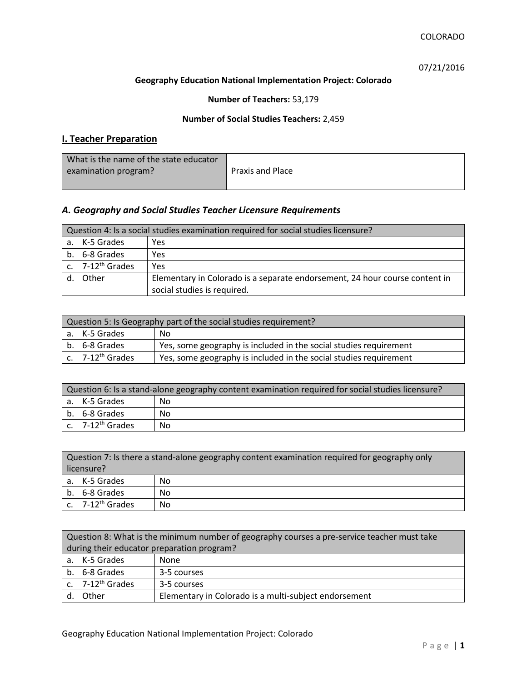07/21/2016

### **Geography Education National Implementation Project: Colorado**

**Number of Teachers:** 53,179

### **Number of Social Studies Teachers:** 2,459

# **I. Teacher Preparation**

| What is the name of the state educator |                         |
|----------------------------------------|-------------------------|
| examination program?                   | <b>Praxis and Place</b> |
|                                        |                         |

# *A. Geography and Social Studies Teacher Licensure Requirements*

| Question 4: Is a social studies examination required for social studies licensure? |                              |                                                                             |
|------------------------------------------------------------------------------------|------------------------------|-----------------------------------------------------------------------------|
|                                                                                    | a. K-5 Grades                | Yes                                                                         |
|                                                                                    | b. 6-8 Grades                | Yes                                                                         |
|                                                                                    | c. 7-12 <sup>th</sup> Grades | Yes                                                                         |
|                                                                                    | Other                        | Elementary in Colorado is a separate endorsement, 24 hour course content in |
|                                                                                    |                              | social studies is required.                                                 |

| Question 5: Is Geography part of the social studies requirement? |                              |                                                                   |
|------------------------------------------------------------------|------------------------------|-------------------------------------------------------------------|
|                                                                  | a. K-5 Grades                | No.                                                               |
|                                                                  | b. 6-8 Grades                | Yes, some geography is included in the social studies requirement |
|                                                                  | c. 7-12 <sup>th</sup> Grades | Yes, some geography is included in the social studies requirement |

| Question 6: Is a stand-alone geography content examination required for social studies licensure? |                                          |     |
|---------------------------------------------------------------------------------------------------|------------------------------------------|-----|
|                                                                                                   | a. K-5 Grades                            | No. |
|                                                                                                   | b. 6-8 Grades                            | No  |
|                                                                                                   | $\mathsf{c}$ . 7-12 <sup>th</sup> Grades | No  |

|            | Question 7: Is there a stand-alone geography content examination required for geography only |    |  |
|------------|----------------------------------------------------------------------------------------------|----|--|
| licensure? |                                                                                              |    |  |
|            | a. K-5 Grades                                                                                | No |  |
|            | b. 6-8 Grades                                                                                | No |  |
|            | c. $7-12^{th}$ Grades                                                                        | No |  |

|                                            | Question 8: What is the minimum number of geography courses a pre-service teacher must take |                                                       |  |
|--------------------------------------------|---------------------------------------------------------------------------------------------|-------------------------------------------------------|--|
| during their educator preparation program? |                                                                                             |                                                       |  |
|                                            | a. K-5 Grades                                                                               | None                                                  |  |
|                                            | b. 6-8 Grades                                                                               | 3-5 courses                                           |  |
|                                            | c. $7-12^{th}$ Grades                                                                       | 3-5 courses                                           |  |
|                                            | d. Other                                                                                    | Elementary in Colorado is a multi-subject endorsement |  |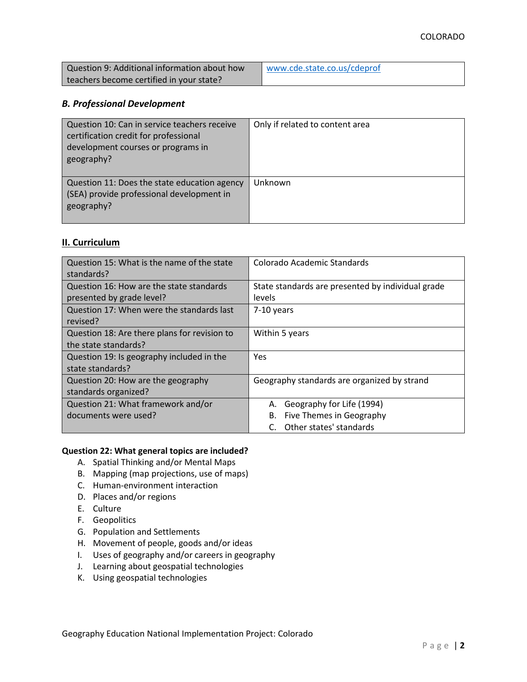| Question 9: Additional information about how | www.cde.state.co.us/cdeprof |
|----------------------------------------------|-----------------------------|
| teachers become certified in your state?     |                             |

#### *B. Professional Development*

| Question 10: Can in service teachers receive<br>certification credit for professional<br>development courses or programs in<br>geography? | Only if related to content area |
|-------------------------------------------------------------------------------------------------------------------------------------------|---------------------------------|
| Question 11: Does the state education agency<br>(SEA) provide professional development in<br>geography?                                   | Unknown                         |

## **II. Curriculum**

| Question 15: What is the name of the state<br>standards? | Colorado Academic Standards                       |
|----------------------------------------------------------|---------------------------------------------------|
| Question 16: How are the state standards                 | State standards are presented by individual grade |
| presented by grade level?                                | levels                                            |
| Question 17: When were the standards last                | 7-10 years                                        |
| revised?                                                 |                                                   |
| Question 18: Are there plans for revision to             | Within 5 years                                    |
| the state standards?                                     |                                                   |
| Question 19: Is geography included in the                | Yes                                               |
| state standards?                                         |                                                   |
| Question 20: How are the geography                       | Geography standards are organized by strand       |
| standards organized?                                     |                                                   |
| Question 21: What framework and/or                       | Geography for Life (1994)<br>А.                   |
| documents were used?                                     | Five Themes in Geography<br>В.                    |
|                                                          | Other states' standards                           |

#### **Question 22: What general topics are included?**

- A. Spatial Thinking and/or Mental Maps
- B. Mapping (map projections, use of maps)
- C. Human-environment interaction
- D. Places and/or regions
- E. Culture
- F. Geopolitics
- G. Population and Settlements
- H. Movement of people, goods and/or ideas
- I. Uses of geography and/or careers in geography
- J. Learning about geospatial technologies
- K. Using geospatial technologies